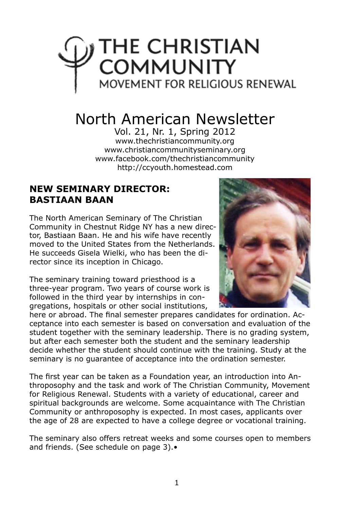# THE CHRISTIAN اور **COMMUNITY**<br>MOVEMENT FOR RELIGIOUS RENEWAL

# North American Newsletter

Vol. 21, Nr. 1, Spring 2012 www.thechristiancommunity.org www.christiancommunityseminary.org www.facebook.com/thechristiancommunity http://ccyouth.homestead.com

#### **NEW SEMINARY DIRECTOR: BASTIAAN BAAN**

The North American Seminary of The Christian Community in Chestnut Ridge NY has a new director, Bastiaan Baan. He and his wife have recently moved to the United States from the Netherlands. He succeeds Gisela Wielki, who has been the director since its inception in Chicago.

The seminary training toward priesthood is a three-year program. Two years of course work is followed in the third year by internships in congregations, hospitals or other social institutions,



here or abroad. The final semester prepares candidates for ordination. Acceptance into each semester is based on conversation and evaluation of the student together with the seminary leadership. There is no grading system, but after each semester both the student and the seminary leadership decide whether the student should continue with the training. Study at the seminary is no guarantee of acceptance into the ordination semester.

The first year can be taken as a Foundation year, an introduction into Anthroposophy and the task and work of The Christian Community, Movement for Religious Renewal. Students with a variety of educational, career and spiritual backgrounds are welcome. Some acquaintance with The Christian Community or anthroposophy is expected. In most cases, applicants over the age of 28 are expected to have a college degree or vocational training.

The seminary also offers retreat weeks and some courses open to members and friends. (See schedule on page 3).•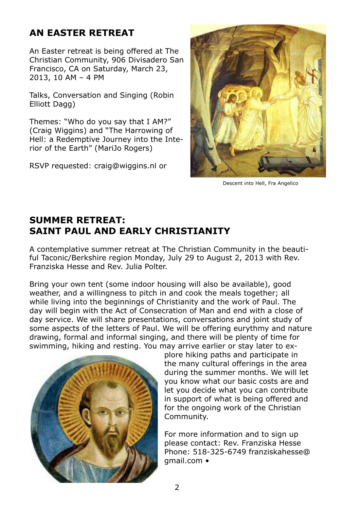## **AN EASTER RETREAT**

An Easter retreat is being offered at The Christian Community, 906 Divisadero San Francisco, CA on Saturday, March 23, 2013, 10 AM – 4 PM

Talks, Conversation and Singing (Robin Elliott Dagg)

Themes: "Who do you say that I AM?" (Craig Wiggins) and "The Harrowing of Hell: a Redemptive Journey into the Interior of the Earth" (MariJo Rogers)

RSVP requested: craig@wiggins.nl or



Descent into Hell, Fra Angelico

#### **SUMMER RETREAT: SAINT PAUL AND EARLY CHRISTIANITY**

A contemplative summer retreat at The Christian Community in the beautiful Taconic/Berkshire region Monday, July 29 to August 2, 2013 with Rev. Franziska Hesse and Rev. Julia Polter.

Bring your own tent (some indoor housing will also be available), good weather, and a willingness to pitch in and cook the meals together; all while living into the beginnings of Christianity and the work of Paul. The day will begin with the Act of Consecration of Man and end with a close of day service. We will share presentations, conversations and joint study of some aspects of the letters of Paul. We will be offering eurythmy and nature drawing, formal and informal singing, and there will be plenty of time for swimming, hiking and resting. You may arrive earlier or stay later to ex-



plore hiking paths and participate in the many cultural offerings in the area during the summer months. We will let you know what our basic costs are and let you decide what you can contribute in support of what is being offered and for the ongoing work of the Christian Community.

For more information and to sign up please contact: Rev. Franziska Hesse Phone: 518-325-6749 franziskahesse@ gmail.com •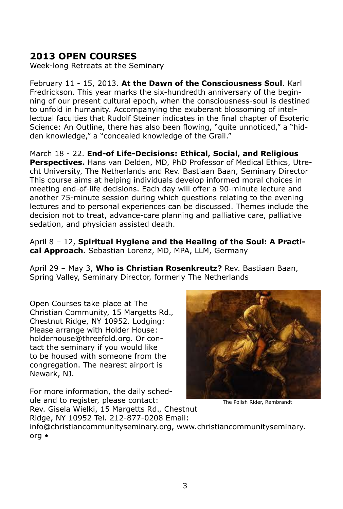#### **2013 OPEN COURSES**

Week-long Retreats at the Seminary

February 11 - 15, 2013. **At the Dawn of the Consciousness Soul**. Karl Fredrickson. This year marks the six-hundredth anniversary of the beginning of our present cultural epoch, when the consciousness-soul is destined to unfold in humanity. Accompanying the exuberant blossoming of intellectual faculties that Rudolf Steiner indicates in the final chapter of Esoteric Science: An Outline, there has also been flowing, "quite unnoticed," a "hidden knowledge," a "concealed knowledge of the Grail."

March 18 - 22. **End-of Life-Decisions: Ethical, Social, and Religious Perspectives.** Hans van Delden, MD, PhD Professor of Medical Ethics, Utrecht University, The Netherlands and Rev. Bastiaan Baan, Seminary Director This course aims at helping individuals develop informed moral choices in meeting end-of-life decisions. Each day will offer a 90-minute lecture and another 75-minute session during which questions relating to the evening lectures and to personal experiences can be discussed. Themes include the decision not to treat, advance-care planning and palliative care, palliative sedation, and physician assisted death.

April 8 – 12, **Spiritual Hygiene and the Healing of the Soul: A Practical Approach.** Sebastian Lorenz, MD, MPA, LLM, Germany

April 29 – May 3, **Who is Christian Rosenkreutz?** Rev. Bastiaan Baan, Spring Valley, Seminary Director, formerly The Netherlands

Open Courses take place at The Christian Community, 15 Margetts Rd., Chestnut Ridge, NY 10952. Lodging: Please arrange with Holder House: holderhouse@threefold.org. Or contact the seminary if you would like to be housed with someone from the congregation. The nearest airport is Newark, NJ.

For more information, the daily schedule and to register, please contact: Rev. Gisela Wielki, 15 Margetts Rd., Chestnut



The Polish Rider, Rembrandt

Ridge, NY 10952 Tel. 212-877-0208 Email: info@christiancommunityseminary.org, www.christiancommunityseminary. org •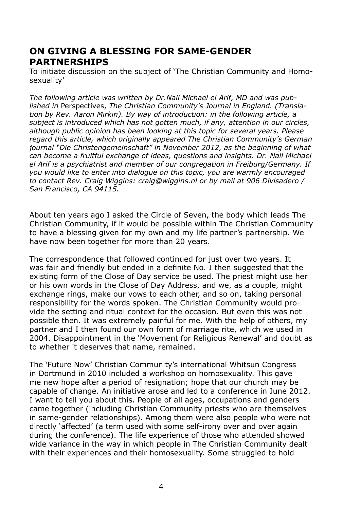#### **ON GIVING A BLESSING FOR SAME-GENDER PARTNERSHIPS**

To initiate discussion on the subject of 'The Christian Community and Homosexuality'

*The following article was written by Dr.Nail Michael el Arif, MD and was published in* Perspectives, *The Christian Community's Journal in England. (Translation by Rev. Aaron Mirkin). By way of introduction: in the following article, a subject is introduced which has not gotten much, if any, attention in our circles, although public opinion has been looking at this topic for several years. Please regard this article, which originally appeared The Christian Community's German journal "Die Christengemeinschaft" in November 2012, as the beginning of what can become a fruitful exchange of ideas, questions and insights. Dr. Nail Michael el Arif is a psychiatrist and member of our congregation in Freiburg/Germany. If you would like to enter into dialogue on this topic, you are warmly encouraged to contact Rev. Craig Wiggins: craig@wiggins.nl or by mail at 906 Divisadero / San Francisco, CA 94115.*

About ten years ago I asked the Circle of Seven, the body which leads The Christian Community, if it would be possible within The Christian Community to have a blessing given for my own and my life partner's partnership. We have now been together for more than 20 years.

The correspondence that followed continued for just over two years. It was fair and friendly but ended in a definite No. I then suggested that the existing form of the Close of Day service be used. The priest might use her or his own words in the Close of Day Address, and we, as a couple, might exchange rings, make our vows to each other, and so on, taking personal responsibility for the words spoken. The Christian Community would provide the setting and ritual context for the occasion. But even this was not possible then. It was extremely painful for me. With the help of others, my partner and I then found our own form of marriage rite, which we used in 2004. Disappointment in the 'Movement for Religious Renewal' and doubt as to whether it deserves that name, remained.

The 'Future Now' Christian Community's international Whitsun Congress in Dortmund in 2010 included a workshop on homosexuality. This gave me new hope after a period of resignation; hope that our church may be capable of change. An initiative arose and led to a conference in June 2012. I want to tell you about this. People of all ages, occupations and genders came together (including Christian Community priests who are themselves in same-gender relationships). Among them were also people who were not directly 'affected' (a term used with some self-irony over and over again during the conference). The life experience of those who attended showed wide variance in the way in which people in The Christian Community dealt with their experiences and their homosexuality. Some struggled to hold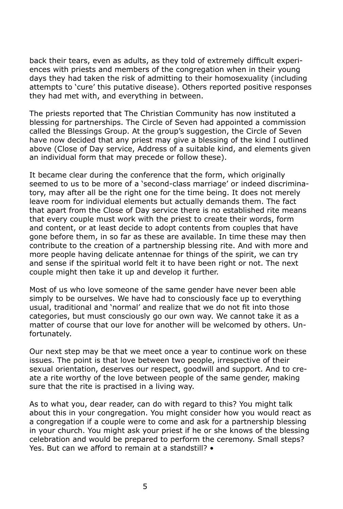back their tears, even as adults, as they told of extremely difficult experiences with priests and members of the congregation when in their young days they had taken the risk of admitting to their homosexuality (including attempts to 'cure' this putative disease). Others reported positive responses they had met with, and everything in between.

The priests reported that The Christian Community has now instituted a blessing for partnerships. The Circle of Seven had appointed a commission called the Blessings Group. At the group's suggestion, the Circle of Seven have now decided that any priest may give a blessing of the kind I outlined above (Close of Day service, Address of a suitable kind, and elements given an individual form that may precede or follow these).

It became clear during the conference that the form, which originally seemed to us to be more of a 'second-class marriage' or indeed discriminatory, may after all be the right one for the time being. It does not merely leave room for individual elements but actually demands them. The fact that apart from the Close of Day service there is no established rite means that every couple must work with the priest to create their words, form and content, or at least decide to adopt contents from couples that have gone before them, in so far as these are available. In time these may then contribute to the creation of a partnership blessing rite. And with more and more people having delicate antennae for things of the spirit, we can try and sense if the spiritual world felt it to have been right or not. The next couple might then take it up and develop it further.

Most of us who love someone of the same gender have never been able simply to be ourselves. We have had to consciously face up to everything usual, traditional and 'normal' and realize that we do not fit into those categories, but must consciously go our own way. We cannot take it as a matter of course that our love for another will be welcomed by others. Unfortunately.

Our next step may be that we meet once a year to continue work on these issues. The point is that love between two people, irrespective of their sexual orientation, deserves our respect, goodwill and support. And to create a rite worthy of the love between people of the same gender, making sure that the rite is practised in a living way.

As to what you, dear reader, can do with regard to this? You might talk about this in your congregation. You might consider how you would react as a congregation if a couple were to come and ask for a partnership blessing in your church. You might ask your priest if he or she knows of the blessing celebration and would be prepared to perform the ceremony. Small steps? Yes. But can we afford to remain at a standstill? •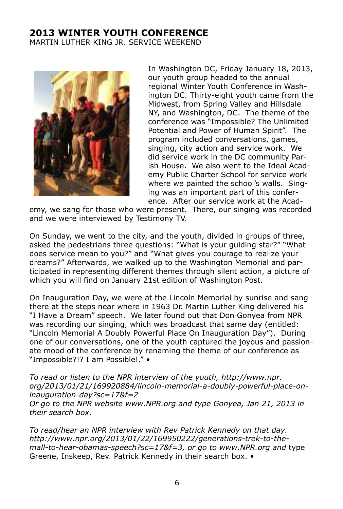#### **2013 WINTER YOUTH CONFERENCE** MARTIN LUTHER KING JR. SERVICE WEEKEND



In Washington DC, Friday January 18, 2013, our youth group headed to the annual regional Winter Youth Conference in Washington DC. Thirty-eight youth came from the Midwest, from Spring Valley and Hillsdale NY, and Washington, DC. The theme of the conference was "Impossible? The Unlimited Potential and Power of Human Spirit". The program included conversations, games, singing, city action and service work. We did service work in the DC community Parish House. We also went to the Ideal Academy Public Charter School for service work where we painted the school's walls. Singing was an important part of this conference. After our service work at the Acad-

emy, we sang for those who were present. There, our singing was recorded and we were interviewed by Testimony TV.

On Sunday, we went to the city, and the youth, divided in groups of three, asked the pedestrians three questions: "What is your guiding star?" "What does service mean to you?" and "What gives you courage to realize your dreams?" Afterwards, we walked up to the Washington Memorial and participated in representing different themes through silent action, a picture of which you will find on January 21st edition of Washington Post.

On Inauguration Day, we were at the Lincoln Memorial by sunrise and sang there at the steps near where in 1963 Dr. Martin Luther King delivered his "I Have a Dream" speech. We later found out that Don Gonyea from NPR was recording our singing, which was broadcast that same day (entitled: "Lincoln Memorial A Doubly Powerful Place On Inauguration Day"). During one of our conversations, one of the youth captured the joyous and passionate mood of the conference by renaming the theme of our conference as "Impossible?!? I am Possible!." •

*To read or listen to the NPR interview of the youth, http://www.npr. org/2013/01/21/169920884/lincoln-memorial-a-doubly-powerful-place-oninauguration-day?sc=17&f=2 Or go to the NPR website www.NPR.org and type Gonyea, Jan 21, 2013 in their search box.*

*To read/hear an NPR interview with Rev Patrick Kennedy on that day. http://www.npr.org/2013/01/22/169950222/generations-trek-to-themall-to-hear-obamas-speech?sc=17&f=3, or go to www.NPR.org and* type Greene, Inskeep, Rev. Patrick Kennedy in their search box. •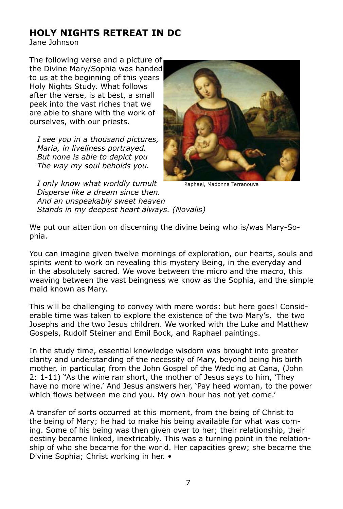#### **HOLY NIGHTS RETREAT IN DC**

Jane Johnson

The following verse and a picture of the Divine Mary/Sophia was handed to us at the beginning of this years Holy Nights Study. What follows after the verse, is at best, a small peek into the vast riches that we are able to share with the work of ourselves, with our priests.

 *I see you in a thousand pictures, Maria, in liveliness portrayed. But none is able to depict you The way my soul beholds you.*



Raphael, Madonna Terranouva

 *I only know what worldly tumult Disperse like a dream since then. And an unspeakably sweet heaven Stands in my deepest heart always. (Novalis)*

We put our attention on discerning the divine being who is/was Mary-Sophia.

You can imagine given twelve mornings of exploration, our hearts, souls and spirits went to work on revealing this mystery Being, in the everyday and in the absolutely sacred. We wove between the micro and the macro, this weaving between the vast beingness we know as the Sophia, and the simple maid known as Mary.

This will be challenging to convey with mere words: but here goes! Considerable time was taken to explore the existence of the two Mary's, the two Josephs and the two Jesus children. We worked with the Luke and Matthew Gospels, Rudolf Steiner and Emil Bock, and Raphael paintings.

In the study time, essential knowledge wisdom was brought into greater clarity and understanding of the necessity of Mary, beyond being his birth mother, in particular, from the John Gospel of the Wedding at Cana, (John 2: 1-11) "As the wine ran short, the mother of Jesus says to him, 'They have no more wine.' And Jesus answers her, 'Pay heed woman, to the power which flows between me and you. My own hour has not yet come.'

A transfer of sorts occurred at this moment, from the being of Christ to the being of Mary; he had to make his being available for what was coming. Some of his being was then given over to her; their relationship, their destiny became linked, inextricably. This was a turning point in the relationship of who she became for the world. Her capacities grew; she became the Divine Sophia; Christ working in her. •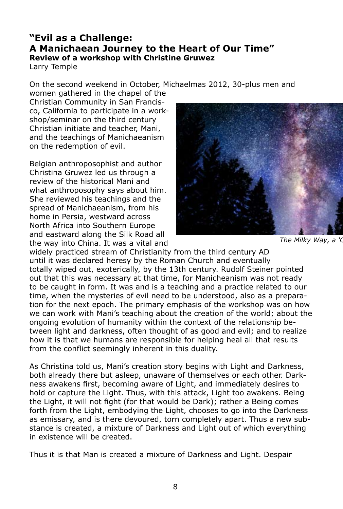#### **"Evil as a Challenge: A Manichaean Journey to the Heart of Our Time" Review of a workshop with Christine Gruwez**

Larry Temple

On the second weekend in October, Michaelmas 2012, 30-plus men and

women gathered in the chapel of the Christian Community in San Francisco, California to participate in a workshop/seminar on the third century Christian initiate and teacher, Mani, and the teachings of Manichaeanism on the redemption of evil.

Belgian anthroposophist and author Christina Gruwez led us through a review of the historical Mani and what anthroposophy says about him. She reviewed his teachings and the spread of Manichaeanism, from his home in Persia, westward across North Africa into Southern Europe and eastward along the Silk Road all the way into China. It was a vital and



*The Milky Way, a 'Column* 

widely practiced stream of Christianity from the third century AD until it was declared heresy by the Roman Church and eventually totally wiped out, exoterically, by the 13th century. Rudolf Steiner pointed out that this was necessary at that time, for Manicheanism was not ready to be caught in form. It was and is a teaching and a practice related to our time, when the mysteries of evil need to be understood, also as a preparation for the next epoch. The primary emphasis of the workshop was on how we can work with Mani's teaching about the creation of the world; about the ongoing evolution of humanity within the context of the relationship between light and darkness, often thought of as good and evil; and to realize how it is that we humans are responsible for helping heal all that results from the conflict seemingly inherent in this duality.

As Christina told us, Mani's creation story begins with Light and Darkness, both already there but asleep, unaware of themselves or each other. Darkness awakens first, becoming aware of Light, and immediately desires to hold or capture the Light. Thus, with this attack, Light too awakens. Being the Light, it will not fight (for that would be Dark); rather a Being comes forth from the Light, embodying the Light, chooses to go into the Darkness as emissary, and is there devoured, torn completely apart. Thus a new substance is created, a mixture of Darkness and Light out of which everything in existence will be created.

Thus it is that Man is created a mixture of Darkness and Light. Despair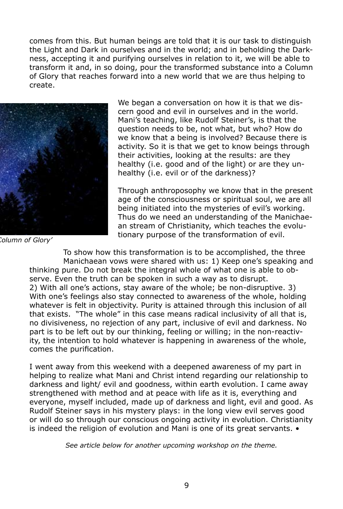comes from this. But human beings are told that it is our task to distinguish the Light and Dark in ourselves and in the world; and in beholding the Darkness, accepting it and purifying ourselves in relation to it, we will be able to transform it and, in so doing, pour the transformed substance into a Column of Glory that reaches forward into a new world that we are thus helping to create.



*The Milky Way, a 'Column of Glory'*

We began a conversation on how it is that we discern good and evil in ourselves and in the world. Mani's teaching, like Rudolf Steiner's, is that the question needs to be, not what, but who? How do we know that a being is involved? Because there is activity. So it is that we get to know beings through their activities, looking at the results: are they healthy (i.e. good and of the light) or are they unhealthy (i.e. evil or of the darkness)?

Through anthroposophy we know that in the present age of the consciousness or spiritual soul, we are all being initiated into the mysteries of evil's working. Thus do we need an understanding of the Manichaean stream of Christianity, which teaches the evolutionary purpose of the transformation of evil.

To show how this transformation is to be accomplished, the three Manichaean vows were shared with us: 1) Keep one's speaking and thinking pure. Do not break the integral whole of what one is able to observe. Even the truth can be spoken in such a way as to disrupt. 2) With all one's actions, stay aware of the whole; be non-disruptive. 3) With one's feelings also stay connected to awareness of the whole, holding whatever is felt in objectivity. Purity is attained through this inclusion of all that exists. "The whole" in this case means radical inclusivity of all that is, no divisiveness, no rejection of any part, inclusive of evil and darkness. No part is to be left out by our thinking, feeling or willing; in the non-reactivity, the intention to hold whatever is happening in awareness of the whole, comes the purification.

I went away from this weekend with a deepened awareness of my part in helping to realize what Mani and Christ intend regarding our relationship to darkness and light/ evil and goodness, within earth evolution. I came away strengthened with method and at peace with life as it is, everything and everyone, myself included, made up of darkness and light, evil and good. As Rudolf Steiner says in his mystery plays: in the long view evil serves good or will do so through our conscious ongoing activity in evolution. Christianity is indeed the religion of evolution and Mani is one of its great servants. •

*See article below for another upcoming workshop on the theme.*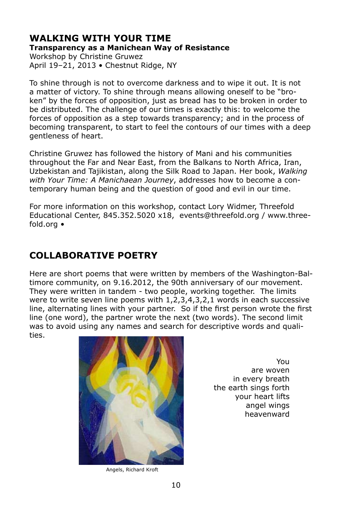#### **WALKING WITH YOUR TIME Transparency as a Manichean Way of Resistance**

Workshop by Christine Gruwez April 19–21, 2013 • Chestnut Ridge, NY

To shine through is not to overcome darkness and to wipe it out. It is not a matter of victory. To shine through means allowing oneself to be "broken" by the forces of opposition, just as bread has to be broken in order to be distributed. The challenge of our times is exactly this: to welcome the forces of opposition as a step towards transparency; and in the process of becoming transparent, to start to feel the contours of our times with a deep gentleness of heart.

Christine Gruwez has followed the history of Mani and his communities throughout the Far and Near East, from the Balkans to North Africa, Iran, Uzbekistan and Tajikistan, along the Silk Road to Japan. Her book, *Walking with Your Time: A Manichaean Journey*, addresses how to become a contemporary human being and the question of good and evil in our time.

For more information on this workshop, contact Lory Widmer, Threefold Educational Center, 845.352.5020 x18, events@threefold.org / www.threefold.org •

# **COLLABORATIVE POETRY**

Here are short poems that were written by members of the Washington-Baltimore community, on 9.16.2012, the 90th anniversary of our movement. They were written in tandem - two people, working together. The limits were to write seven line poems with 1,2,3,4,3,2,1 words in each successive line, alternating lines with your partner. So if the first person wrote the first line (one word), the partner wrote the next (two words). The second limit was to avoid using any names and search for descriptive words and qualities.



Angels, Richard Kroft

You are woven in every breath the earth sings forth your heart lifts angel wings heavenward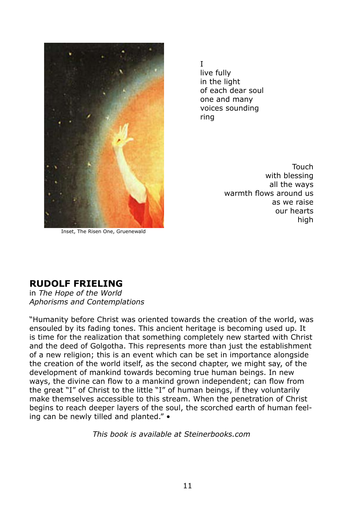

I live fully in the light of each dear soul one and many voices sounding ring

Inset, The Risen One, Gruenewald

Touch with blessing all the ways warmth flows around us as we raise our hearts high

#### **RUDOLF FRIELING**

in *The Hope of the World Aphorisms and Contemplations*

"Humanity before Christ was oriented towards the creation of the world, was ensouled by its fading tones. This ancient heritage is becoming used up. It is time for the realization that something completely new started with Christ and the deed of Golgotha. This represents more than just the establishment of a new religion; this is an event which can be set in importance alongside the creation of the world itself, as the second chapter, we might say, of the development of mankind towards becoming true human beings. In new ways, the divine can flow to a mankind grown independent; can flow from the great "I" of Christ to the little "I" of human beings, if they voluntarily make themselves accessible to this stream. When the penetration of Christ begins to reach deeper layers of the soul, the scorched earth of human feeling can be newly tilled and planted." •

*This book is available at Steinerbooks.com*